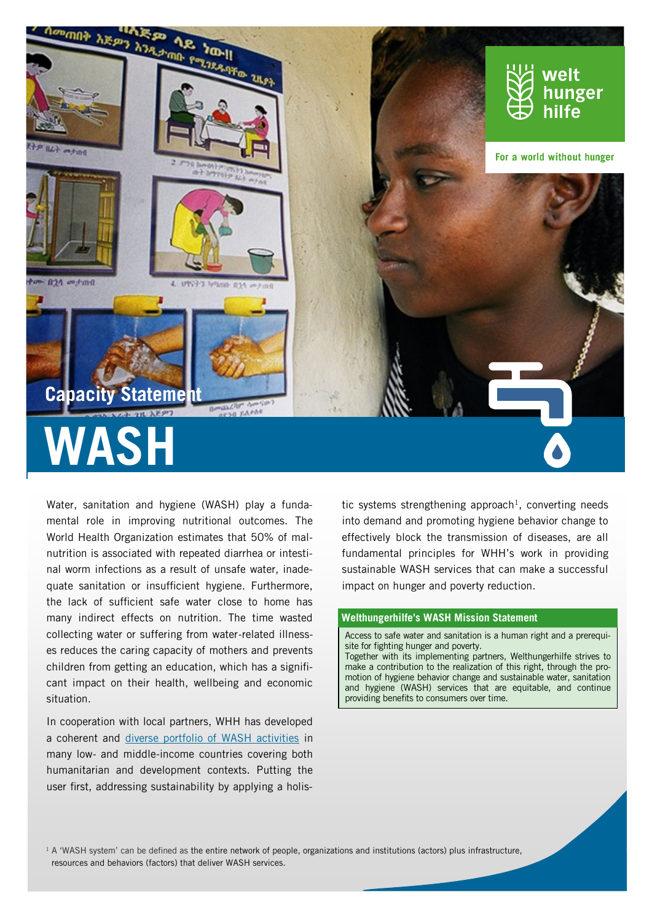

Water, sanitation and hygiene (WASH) play a fundamental role in improving nutritional outcomes. The World Health Organization estimates that 50% of malnutrition is associated with repeated diarrhea or intestinal worm infections as a result of unsafe water, inadequate sanitation or insufficient hygiene. Furthermore, the lack of sufficient safe water close to home has many indirect effects on nutrition. The time wasted collecting water or suffering from water-related illnesses reduces the caring capacity of mothers and prevents children from getting an education, which has a significant impact on their health, wellbeing and economic situation.

In cooperation with local partners, WHH has developed a coherent and [diverse portfolio of WASH activities](https://drive.google.com/open?id=127R5k155wN0YrmP_ZXemMt4ru3sfTDsR) in many low- and middle-income countries covering both humanitarian and development contexts. Putting the user first, addressing sustainability by applying a holis-

tic systems strengthening approach<sup>1</sup>, converting needs into demand and promoting hygiene behavior change to effectively block the transmission of diseases, are all fundamental principles for WHH's work in providing sustainable WASH services that can make a successful impact on hunger and poverty reduction.

#### **Welthungerhilfe's WASH Mission Statement**

Access to safe water and sanitation is a human right and a prerequisite for fighting hunger and poverty. Together with its implementing partners, Welthungerhilfe strives to

make a contribution to the realization of this right, through the promotion of hygiene behavior change and sustainable water, sanitation and hygiene (WASH) services that are equitable, and continue providing benefits to consumers over time.

 $1$  A 'WASH system' can be defined as the entire network of people, organizations and institutions (actors) plus infrastructure, resources and behaviors (factors) that deliver WASH services.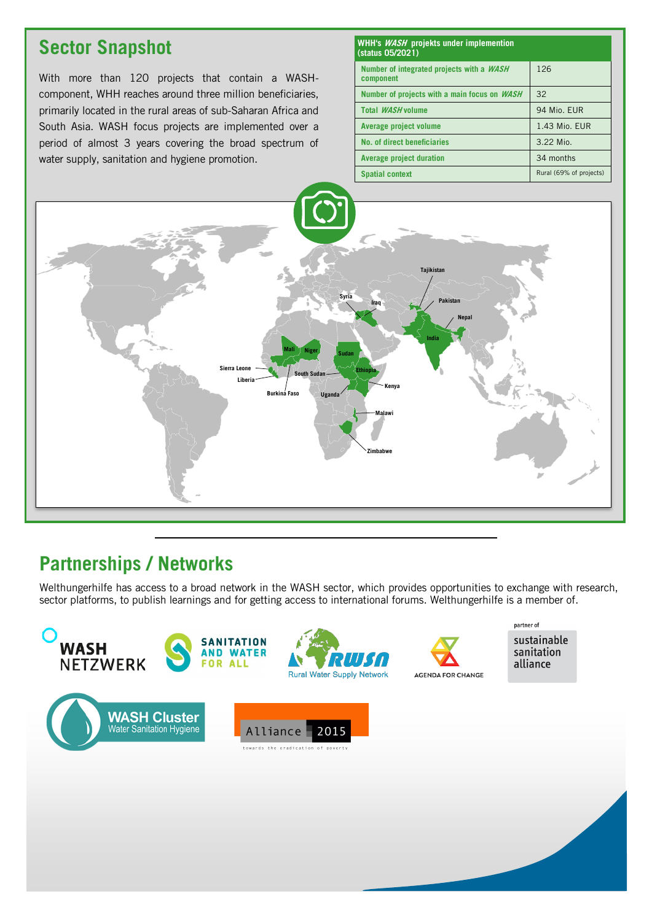# **Sector Snapshot**

With more than 120 projects that contain a WASHcomponent, WHH reaches around three million beneficiaries, primarily located in the rural areas of sub-Saharan Africa and South Asia. WASH focus projects are implemented over a period of almost 3 years covering the broad spectrum of water supply, sanitation and hygiene promotion.

| WHH's <i>WASH</i> projekts under implemention<br>(status 05/2021) |                         |
|-------------------------------------------------------------------|-------------------------|
| Number of integrated projects with a <i>WASH</i><br>component     | 126                     |
| Number of projects with a main focus on WASH                      | 32                      |
| Total <i>WASH</i> volume                                          | 94 Mio. EUR             |
| Average project volume                                            | 1.43 Mio. EUR           |
| No. of direct beneficiaries                                       | 3.22 Mio.               |
| <b>Average project duration</b>                                   | 34 months               |
| <b>Spatial context</b>                                            | Rural (69% of projects) |



# **Partnerships / Networks**

Welthungerhilfe has access to a broad network in the WASH sector, which provides opportunities to exchange with research, sector platforms, to publish learnings and for getting access to international forums. Welthungerhilfe is a member of.